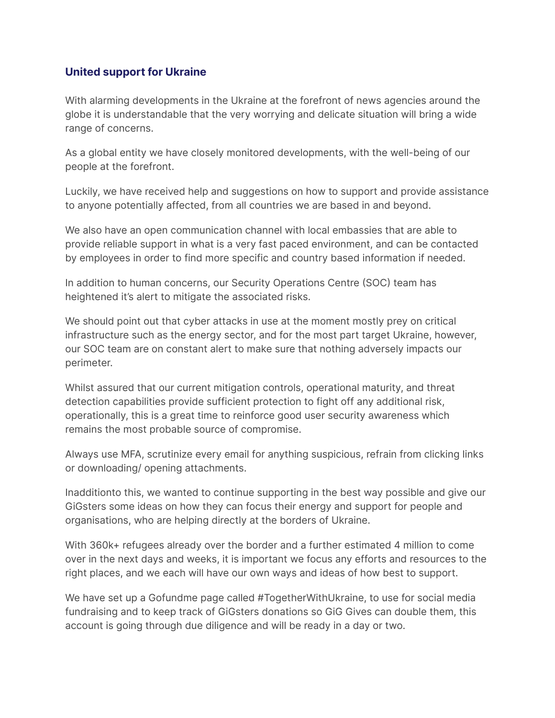## **United support for Ukraine**

With alarming developments in the Ukraine at the forefront of news agencies around the globe it is understandable that the very worrying and delicate situation will bring a wide range of concerns.

As a global entity we have closely monitored developments, with the well-being of our people at the forefront.

Luckily, we have received help and suggestions on how to support and provide assistance to anyone potentially affected, from all countries we are based in and beyond.

We also have an open communication channel with local embassies that are able to provide reliable support in what is a very fast paced environment, and can be contacted by employees in order to find more specific and country based information if needed.

In addition to human concerns, our Security Operations Centre (SOC) team has heightened it's alert to mitigate the associated risks.

We should point out that cyber attacks in use at the moment mostly prey on critical infrastructure such as the energy sector, and for the most part target Ukraine, however, our SOC team are on constant alert to make sure that nothing adversely impacts our perimeter.

Whilst assured that our current mitigation controls, operational maturity, and threat detection capabilities provide sufficient protection to fight off any additional risk, operationally, this is a great time to reinforce good user security awareness which remains the most probable source of compromise.

Always use MFA, scrutinize every email for anything suspicious, refrain from clicking links or downloading/ opening attachments.

Inadditionto this, we wanted to continue supporting in the best way possible and give our GiGsters some ideas on how they can focus their energy and support for people and organisations, who are helping directly at the borders of Ukraine.

With 360k+ refugees already over the border and a further estimated 4 million to come over in the next days and weeks, it is important we focus any efforts and resources to the right places, and we each will have our own ways and ideas of how best to support.

We have set up a [Gofundme](https://gofund.me/cc10aa47) page called #TogetherWithUkraine, to use for social media fundraising and to keep track of GiGsters donations so GiG Gives can double them, this account is going through due diligence and will be ready in a day or two.